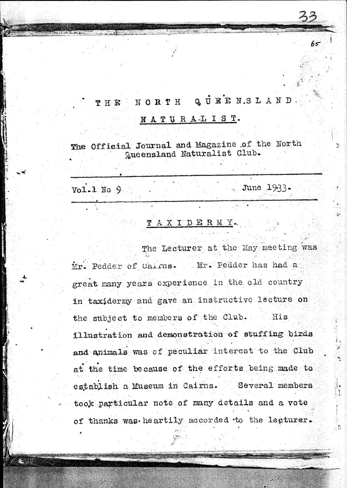#### QUEENSLAND **NORTH THE**

## NATURALIST.

The Official Journal and Magazine of the North Queensland Naturalist Club.

 $Vol.1$  No. 9

June  $1933-$ 

65

## TAXIDERMY.

The Lecturer at the May meeting was Mr. Pedder of Cairns. Mr. Pedder has had a great many years experience in the old country in taxidermy and gave an instructive lecture on the subject to members of the Club. His illustration and demonstration of stuffing birds and animals was of peculiar interest to the Club at the time because of the efforts being made to establish a Museum in Cairns. Several members took particular note of many details and a vote of thanks was heartily accorded to the lecturer.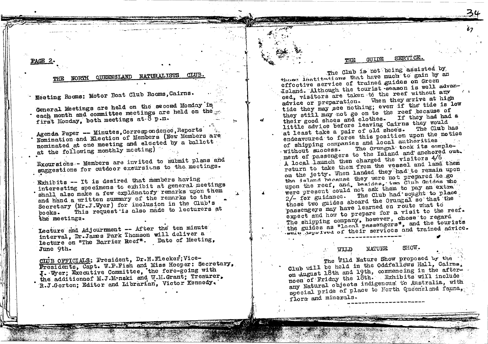## PAGE 2.

## NORTH QUEENSLAND NATURALISTS

Meeting Rooms: Motor Boat Club Rooms, Cairns.

General Meetings are held on the second Monday in each month and committee meetings are held on the first Monday. both meetings at 8 p.m.

Agenda Paper -- Minutes, Correspondence, Reports Nomination and Election of Members (New Members are nominated at one meeting and elected by a ballott at the following monthly meeting)

Excursions - Members are invited to submit plans and suggestions for outdoor excursions to the meetings.

Exhibits -- It is desired that members having interesting specimens to exhibit at general meetings shall also make a few explanatory remarks upon them and hand a written summary of the remarks to the Secretary (Mr.J.Wyer) for inclusion in the Club's This request is also made to lecturers at  $h$ o $\alpha$ k $s$ . the meetings.

Lecture and Adjournment -- After the ten minute interval, Dr.James Park Thomson will deliver a lecture on "The Barrier Reef". Date of Meeting, June 9th.

CHUB OFFICIALS: President, Dr.H.Flecker; Vice-Presidents, Capt. W.P.Fish and Miss Hooper: Secretary, J. Wyer; Executive Committee, the fore-going with the additionaof M.J.Manski and W.M.Grant; Treaurer, R.J.Gorton; Editor and Librarian, Victor Kennedy.

#### SERVICE. **ATIT DE**

67

The Club is not being assisted by those lnatitutions that have much to gain by an effective service of trained guides on Green Island. Although the tourist -season is well advanced, visitors are taken to the reef without any advice or preparation. When they arrive at high tide they may see nothing; even if the tide is low they still may not go on to the reef because of their good shoes and clothes. If they had had a little advice before leaving Cairns they would at least take a pair of old shoe's. The Club has endeavoured to force this position upon the notice of shipping companies and local authorities The Orungal took its comple-. without success. ment of passengers to the Island and anchored out. A local launch then charged the visitors 4/6 return to take them from the vessel and land them on the jetty. When landed they had to remain upon the island because they were not prepared to go upon the reef, and, besides, two Club Guides who were present could not ask them to pay an extra 2/- for guidance. The Club had sought to place those two guides aboard the Orungal so that the passengers may have learned en route what to expect and how to prepare for a visit to the reef. The shipping company, however, chose to regard the guides as "local passengers", and the tourists weig deprived of their services and trained advice.

#### SHOW. **NATURE** ulid

The Wild Nature Show proposed by the Club will be held in the Oddfellows Hall, Cairns, on August 18th and 19th, commencing in the afternoon of Friday the 18th. Eshibits will include any Natural objects indigenous to Australia, with special pride of place to North Queensland fauna, flora and minerals.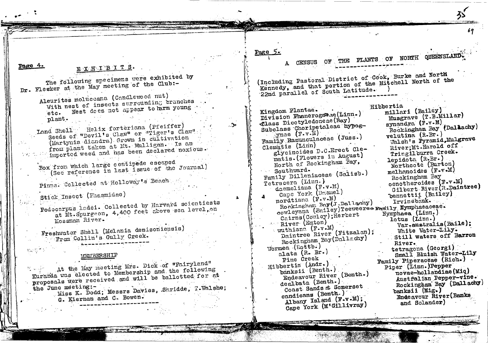### Page 4. EXHIBITS.

The following specimens were exhibited by Dr. Fleeker at the May meeting of the Club:-

Aleurites moluccana (Candlewood nut) With nest of insects surrounding branches. etc. Nest dees not appear to harm young plant.

Land Shell Helix forteriana (Pfeiffer) Seeds of "Devil's Claw" or "Tiger's Claw" (Martynia diandra) Grown in cultivation from plant taken at Mt. Mulligan. Is an imported weed and has been declared noxious.

Box from which large centipede escaped (See reference in last issue of the Journal)

Pinna. Collected at Holloway's Beach

Stick Insect (Fhasmidae)

Podocarpus ladei. Collected by Harvard scientiests at Mt. Spurgeon, 4,400 feet above sea level, on Mossman River.

Freshwater Shell (Melania denisoniensis) From Collin's Gully Creek.

## MEMBERSHIP

At the May meeting Mrs. Dick of "Fairyland" Kuranda was elected to Membership and the following proposals were received and will be ballotted for at the June meeting:-Miss K. Dodd; Messrs Davies, Shridde, T.Walshe; G. Kiernan and C. Bowen.

Page  $5.$ 

 $2<sup>2</sup>$ 

್ಲೋ

CENSUS

OF THE PLANTS OF NORTH QUEENSLAND.

(Including Pastoral District of Cook, Burke and North Kennedy, and that portion of the Mitchell North of the 22nd parallel of South Latitude.

Kingdom Plantae. Division Phaneroganae (Linn.) Class Dicotyledoneae (Ray) Subclass Choripetaleae hypogynae  $(F \cdot v \cdot \mathbb{N})$ Family Ranunculaceae (Juss.) Clematis (Linn) glycinoides D.C.Erect Clematis. (Flowers in August) North of Rockingham Bay, Southward. Family Dilleniaceae (Salisb.) Tetracera (Linn.) doemeliana  $(F \cdot v \cdot M)$ Cape York (Dnamel) nordtiana (F.v.M) Rockingham Bay(J.Dallachy) cowleyena (Bailey) Teeweeree Family Nymphaeaceae. Cairns(Cowley); Herbert River (Eaton) wuthiana (F.v.M) Daintree River (Fitzalan); Rockingnam Pay(Dallechy) Wormea<sub>(Rottb.)</sub> alata (R. Br.) Pine Creek Hibbertia (Andr.) banksii (Benth.) Endeavour River (Benth.) dealbata (Benth.) Coast Sands at Somerset candicans (Benth.) Albany Island (F.v.M): Cape York (M'Gillivray)

Hibbertia millari (Bailey) Musgrave (T.B.Millar) synandra (F.v.M) Rockingham Bay (Dallachy) velutina (R.Br.) Valsh's Pyramid, Mulgrave River; Mt.Harold off. Tringilburra Creek. lepidota (R.Br.) Northcote (Burton) melhanoides  $(F - v \cdot M)$ Rockingham Bay oenotheroides (F.v.M) Gilbert River (R.Daintree) bennettii (Bailey) Irvinebank. Nymphaea (Linn.) lotus (Linn.) Var-australis(Baile): White Water-Lily. Still waters off Barron **River.** tetragona (Georgi) Small Bluish Water-Lily Family Piperaceae (Rich.) Piper (Linn.)Pepper novae-hollandiae (Miq) Austfalian Pepper-vine. Rockingham Bay (Dallachy) banksii (Mig.) Endeavour River (Banks and Solander)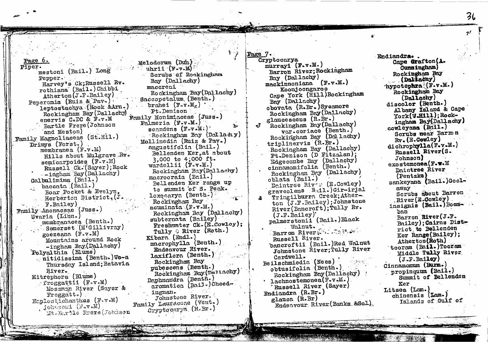Piper. mestoni (Bail.) Long Pepper. Harvey's Ck; Russell Rv. rothiana (Bail.) Chibbi  $Atherton (J.F.Ba11ey)$ Peperomia (Ruiz & Pav.). leptostachya (Hook &Arn.) Rockingham Bay (Dallachy) enervis C.DC & F.v.M **Bartle Frere (Johnson** and Meston) Family Magnoliaceae (St.Hil.) Drimys (Forst.) membranea  $(F - v - M)$ Hills about Mulgrave Rv. semicarpoides (F.v.M) Russell Ck. (Sayer); Rock --ingham Bay (Dallachy) Galbulimima (Bail.) baccata (Bail.) udi i Boar Pocket & Evelyn. Herberton District. (J. F.Bailey) Family Anonaceae (Juss.) Uvaria (Linn.) membranacea (Benth.) Semerset (M'Gillivray) goezeana (F.v.M) Mountains around Rock -ingham Bay (Dallachy) Polyalthia (Blume) . nitidissima (Benth.) We-a Thursday Island; Batavia River. Mitrephora (Blume) froggattii  $(F \cdot v \cdot M)$ Mossman River (Saver &  $\texttt{Froua}(\mathbf{t}_*)$ Haplostichanthus (F.v.M) Johnsoni (Fav.M) Mt. Bartle Frere (Johnson

Melodorum (Dun) uhrii  $(F - v \cdot \mathbb{R})$ Scrubs of Rockingham Bay (Dallechy) maccreai Rockingham Bay(Dallachy) Saccopetalum (Benth.) brahei  $(F \cdot v \cdot M_e)$ Pt.Denison Family Monimiaceae (Juss.)  $P$ almeria (F. $v$ .M.) scandens  $(F_{\sim V}*M_*)$ . Rockingham Bay (Dallachy) Mollinedia (Ruiz & Pav.) angustifolia (Bail.) Bellenden Ker, at about 3,000 to 4;000 ft. wardellii (F.v.M.) Rockingham Bay(Dallachy) macrooraia (Bail.) Bellenden Ker range up to summait of S. Peak.  $log($ carya (Benth.) Rockingham Bay acuminata (F.v.M.) Rockingham Bay (Dallachy) subternata (Bailey) Freshwater Ck. (E.Cowloy); Tully 6 River (Roth.) Kibara (Endl.) macrophylla (Benth.) Endeavour River. laxiflora (Benth.) Rockingham Bay pubescens (Benth.) Rockingham Bay (Dallachy) Daphnandra (Benth.) aromatica (Bail.) Cheedingnan. Johnstone River. Family Lauraceae (Vent.) Cryptocarya (R.Br.)

Cryptocarya  $murrey1$  (F.v.M.) Barron River; Rockingham Bay (Dallachy) mackinnoniana (F.v.M.) Koonjoongaroo Cape York (Hill)Rockingham Bay (Dallachy) obovata (R.Br.) Sycamore Rockingham Bay (Dallachy) glaucescens (R.Br.) Rockingham Bay(Dallachy) var.coriace (Benth.) Rockingham Bay (Dallachy) triplinervis (R.Br.) Rockingham Bay (Dallachy) Pt.Denison (D Fitzalan); Edgecombe Bay (Dallachy) cinnamomifolia (Benth.) Rockingham Bay (Dallachy) oblata (Bail.) Daintree River (E.Cowley) graveolens B.il.) Gir-irial Tringilburra Creek; Atherton (J.F.Bailey); Johnstone River(Bancroft): Tully Rv.  $(J.F.Bailey)'$ palmerstonii (Bail.) Black Walnut. Barron River New State Russell River. bancroftii (Bail.) Red Walnut Johnstone River; Tully River Cardwell. Beilschmiedia (Nees) obtusifolia (Benth.) Rockingham Bay (Dallachy)  $\cdot$  lachnostemonea(F.v.M.) Russell River (Sayer) Endiandra (R.Br.) glauca (R.Br) Endeavour River (Banks &Sol)

Page 7.

Endiandra.. Cape Grafton(A. Cunningham) **Rockingham Bay** (Daliačhy) hypotephra  $(\mathbb{F}\cdot \mathbf{v}\cdot \mathbf{M})$ Rockingham Bay  $(Da11achy)$ discolor (Benth.) Albany Island & Cape York(V-H111): Rockingham Bay(Dallachy) cowleyana (Bail.) Scrubs near Barmn  $Rv$ ,  $(E$ . Cowley) dichrophylla(F.v.M.) Russell River(S. Johnson)  $exo$ stemonea (F.w.M Daintree River  $(Pentzk**a**)$ sankeyana (Bail.)Goolaway Scrubs about Barron River(E.Cowley) insignis (Bail.) Boomban<sup>'</sup> Barron River (J.F. Bailey); Cairns District to Bellenden Ker Range (Bailey): Atherton (Roth) tooram (Bail.) Tooram Middle Tully River  $(J.F.Ba1ley)$ Cinnamomum (Burm.) propinguum (Bail.) Summit of Bellenden Ker Litsea (Lam.) chinensis (Lam.) Islands of Gulf of

ろん

 $7<sup>1</sup>$